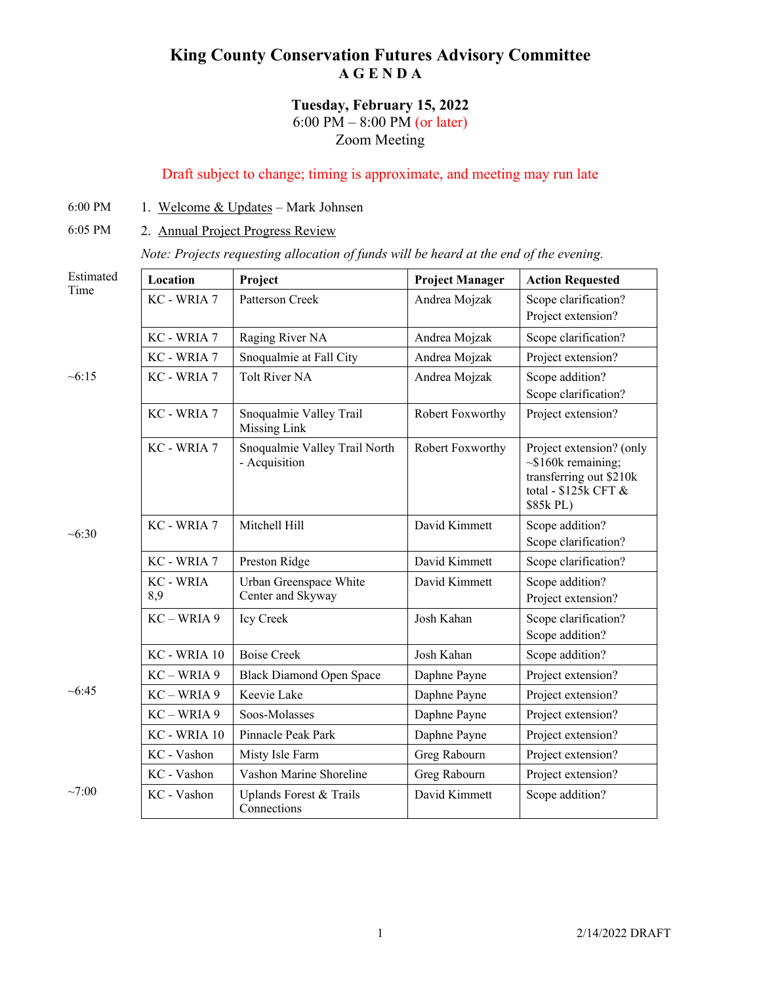## **King County Conservation Futures Advisory Committee A G E N D A**

## **Tuesday, February 15, 2022** 6:00 PM – 8:00 PM (or later)

Zoom Meeting

## Draft subject to change; timing is approximate, and meeting may run late

- 6:00 PM 1. Welcome  $&$  Updates Mark Johnsen
- 6:05 PM 2. Annual Project Progress Review

*Note: Projects requesting allocation of funds will be heard at the end of the evening.*

| Estimated      | Location              | Project                                        | <b>Project Manager</b> | <b>Action Requested</b>                                                                                               |
|----------------|-----------------------|------------------------------------------------|------------------------|-----------------------------------------------------------------------------------------------------------------------|
| Time           | KC - WRIA 7           | Patterson Creek                                | Andrea Mojzak          | Scope clarification?<br>Project extension?                                                                            |
| ~15            | KC - WRIA 7           | Raging River NA                                | Andrea Mojzak          | Scope clarification?                                                                                                  |
|                | KC - WRIA 7           | Snoqualmie at Fall City                        | Andrea Mojzak          | Project extension?                                                                                                    |
|                | KC - WRIA 7           | <b>Tolt River NA</b>                           | Andrea Mojzak          | Scope addition?<br>Scope clarification?                                                                               |
|                | KC - WRIA 7           | Snoqualmie Valley Trail<br><b>Missing Link</b> | Robert Foxworthy       | Project extension?                                                                                                    |
|                | KC - WRIA 7           | Snoqualmie Valley Trail North<br>- Acquisition | Robert Foxworthy       | Project extension? (only<br>$\sim$ \$160k remaining;<br>transferring out \$210k<br>total - $$125k$ CFT &<br>\$85k PL) |
| $~10^{-6}$ :30 | KC - WRIA 7           | Mitchell Hill                                  | David Kimmett          | Scope addition?<br>Scope clarification?                                                                               |
|                | KC - WRIA 7           | Preston Ridge                                  | David Kimmett          | Scope clarification?                                                                                                  |
|                | <b>KC-WRIA</b><br>8,9 | Urban Greenspace White<br>Center and Skyway    | David Kimmett          | Scope addition?<br>Project extension?                                                                                 |
|                | $KC - WRIA 9$         | Icy Creek                                      | Josh Kahan             | Scope clarification?<br>Scope addition?                                                                               |
| $\sim 6:45$    | KC - WRIA 10          | <b>Boise Creek</b>                             | Josh Kahan             | Scope addition?                                                                                                       |
|                | $KC - WRIA 9$         | <b>Black Diamond Open Space</b>                | Daphne Payne           | Project extension?                                                                                                    |
|                | $KC - WRIA 9$         | Keevie Lake                                    | Daphne Payne           | Project extension?                                                                                                    |
|                | KC - WRIA 9           | Soos-Molasses                                  | Daphne Payne           | Project extension?                                                                                                    |
|                | KC - WRIA 10          | Pinnacle Peak Park                             | Daphne Payne           | Project extension?                                                                                                    |
|                | KC - Vashon           | Misty Isle Farm                                | Greg Rabourn           | Project extension?                                                                                                    |
|                | KC - Vashon           | Vashon Marine Shoreline                        | Greg Rabourn           | Project extension?                                                                                                    |
| ~100           | KC - Vashon           | Uplands Forest & Trails<br>Connections         | David Kimmett          | Scope addition?                                                                                                       |